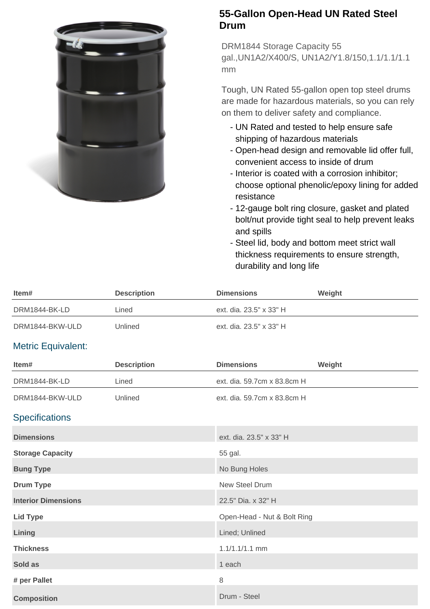

## **55-Gallon Open-Head UN Rated Steel Drum**

DRM1844 Storage Capacity 55 gal.,UN1A2/X400/S, UN1A2/Y1.8/150,1.1/1.1/1.1 mm

Tough, UN Rated 55-gallon open top steel drums are made for hazardous materials, so you can rely on them to deliver safety and compliance.

- UN Rated and tested to help ensure safe shipping of hazardous materials
- Open-head design and removable lid offer full, convenient access to inside of drum
- Interior is coated with a corrosion inhibitor; choose optional phenolic/epoxy lining for added resistance
- 12-gauge bolt ring closure, gasket and plated bolt/nut provide tight seal to help prevent leaks and spills
- Steel lid, body and bottom meet strict wall thickness requirements to ensure strength, durability and long life

| Item#                      | <b>Description</b> | <b>Dimensions</b>           | Weight |
|----------------------------|--------------------|-----------------------------|--------|
| DRM1844-BK-LD              | Lined              | ext. dia. 23.5" x 33" H     |        |
| DRM1844-BKW-ULD            | Unlined            | ext. dia. 23.5" x 33" H     |        |
| <b>Metric Equivalent:</b>  |                    |                             |        |
| Item#                      | <b>Description</b> | <b>Dimensions</b>           | Weight |
| DRM1844-BK-LD              | Lined              | ext. dia. 59.7cm x 83.8cm H |        |
| DRM1844-BKW-ULD            | Unlined            | ext. dia. 59.7cm x 83.8cm H |        |
| <b>Specifications</b>      |                    |                             |        |
| <b>Dimensions</b>          |                    | ext. dia. 23.5" x 33" H     |        |
| <b>Storage Capacity</b>    |                    | 55 gal.                     |        |
| <b>Bung Type</b>           |                    | No Bung Holes               |        |
| <b>Drum Type</b>           |                    | New Steel Drum              |        |
| <b>Interior Dimensions</b> |                    | 22.5" Dia. x 32" H          |        |
| <b>Lid Type</b>            |                    | Open-Head - Nut & Bolt Ring |        |
| Lining                     |                    | Lined; Unlined              |        |
| <b>Thickness</b>           |                    | $1.1/1.1/1.1$ mm            |        |
| Sold as                    |                    | 1 each                      |        |
| # per Pallet               |                    | 8                           |        |
| <b>Composition</b>         |                    | Drum - Steel                |        |